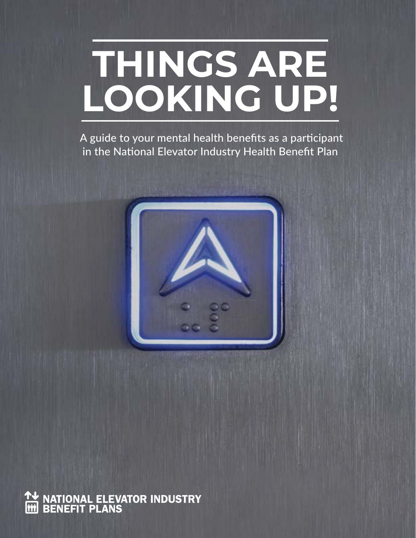# **THINGS ARE LOOKING UP!**

 A guide to your mental health benefits as a participant in the National Elevator Industry Health Benefit Plan



**NATIONAL ELEVATOR INDUSTRY**<br>BENEFIT PLANS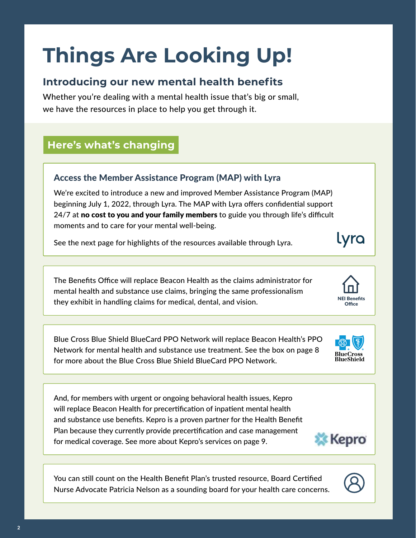## **Things Are Looking Up!**

#### **Introducing our new mental health benefits**

Whether you're dealing with a mental health issue that's big or small, we have the resources in place to help you get through it.

#### **Here's what's changing**

#### Access the Member Assistance Program (MAP) with Lyra

We're excited to introduce a new and improved Member Assistance Program (MAP) beginning July 1, 2022, through Lyra. The MAP with Lyra offers confidential support 24/7 at no cost to you and your family members to guide you through life's difficult moments and to care for your mental well-being.

See the next page for highlights of the resources available through Lyra.

The Benefits Office will replace Beacon Health as the claims administrator for mental health and substance use claims, bringing the same professionalism they exhibit in handling claims for medical, dental, and vision.

Blue Cross Blue Shield BlueCard PPO Network will replace Beacon Health's PPO Network for mental health and substance use treatment. See the box on page 8 for more about the Blue Cross Blue Shield BlueCard PPO Network.

And, for members with urgent or ongoing behavioral health issues, Kepro will replace Beacon Health for precertification of inpatient mental health and substance use benefits. Kepro is a proven partner for the Health Benefit Plan because they currently provide precertification and case management for medical coverage. See more about Kepro's services on page 9.

You can still count on the Health Benefit Plan's trusted resource, Board Certified Nurse Advocate Patricia Nelson as a sounding board for your health care concerns.



2



Lyra

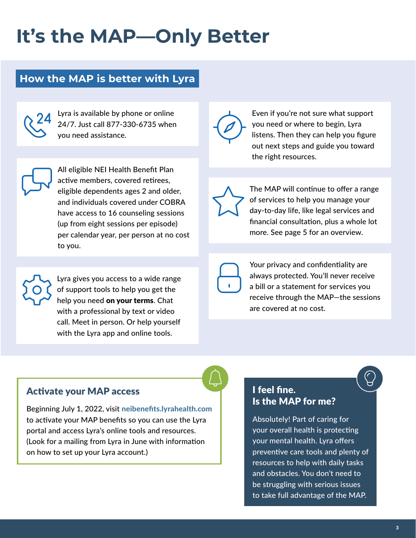## **It's the MAP—Only Better**

#### **How the MAP is better with Lyra**

Lyra is available by phone or online 24/7. Just call 877-330-6735 when you need assistance.

All eligible NEI Health Benefit Plan active members, covered retirees, eligible dependents ages 2 and older, and individuals covered under COBRA have access to 16 counseling sessions (up from eight sessions per episode) per calendar year, per person at no cost to you.

Lyra gives you access to a wide range of support tools to help you get the help you need on your terms. Chat with a professional by text or video call. Meet in person. Or help yourself with the Lyra app and online tools.



Even if you're not sure what support you need or where to begin, Lyra listens. Then they can help you figure out next steps and guide you toward the right resources.

The MAP will continue to offer a range of services to help you manage your day-to-day life, like legal services and financial consultation, plus a whole lot more. See page 5 for an overview.

Your privacy and confidentiality are always protected. You'll never receive a bill or a statement for services you receive through the MAP—the sessions are covered at no cost.

Activate your MAP access

Beginning July 1, 2022, visit neibenefits.lyrahealth.com to activate your MAP benefits so you can use the Lyra portal and access Lyra's online tools and resources. (Look for a mailing from Lyra in June with information on how to set up your Lyra account.)

#### I feel fine. Is the MAP for me?

Absolutely! Part of caring for your overall health is protecting your mental health. Lyra offers preventive care tools and plenty of resources to help with daily tasks and obstacles. You don't need to be struggling with serious issues to take full advantage of the MAP.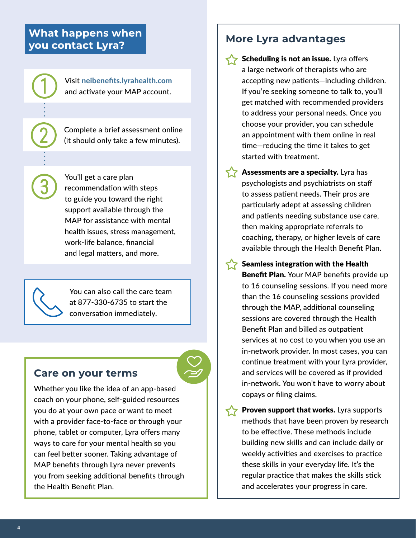#### **What happens when you contact Lyra?**

Visit neibenefits.lyrahealth.com and activate your MAP account.

Complete a brief assessment online (it should only take a few minutes).

You'll get a care plan recommendation with steps to guide you toward the right support available through the MAP for assistance with mental health issues, stress management, work-life balance, financial and legal matters, and more.

You can also call the care team at 877-330-6735 to start the conversation immediately.

#### **Care on your terms**

Whether you like the idea of an app-based coach on your phone, self-guided resources you do at your own pace or want to meet with a provider face-to-face or through your phone, tablet or computer, Lyra offers many ways to care for your mental health so you can feel better sooner. Taking advantage of MAP benefits through Lyra never prevents you from seeking additional benefits through the Health Benefit Plan.

#### **More Lyra advantages**

- Scheduling is not an issue. Lyra offers a large network of therapists who are accepting new patients—including children. If you're seeking someone to talk to, you'll get matched with recommended providers to address your personal needs. Once you choose your provider, you can schedule an appointment with them online in real time—reducing the time it takes to get started with treatment.
- Assessments are a specialty. Lyra has psychologists and psychiatrists on staff to assess patient needs. Their pros are particularly adept at assessing children and patients needing substance use care, then making appropriate referrals to coaching, therapy, or higher levels of care available through the Health Benefit Plan.

Seamless integration with the Health Benefit Plan. Your MAP benefits provide up to 16 counseling sessions. If you need more than the 16 counseling sessions provided through the MAP, additional counseling sessions are covered through the Health Benefit Plan and billed as outpatient services at no cost to you when you use an in-network provider. In most cases, you can continue treatment with your Lyra provider, and services will be covered as if provided in-network. You won't have to worry about copays or filing claims.

**Proven support that works.** Lyra supports methods that have been proven by research to be effective. These methods include building new skills and can include daily or weekly activities and exercises to practice these skills in your everyday life. It's the regular practice that makes the skills stick and accelerates your progress in care.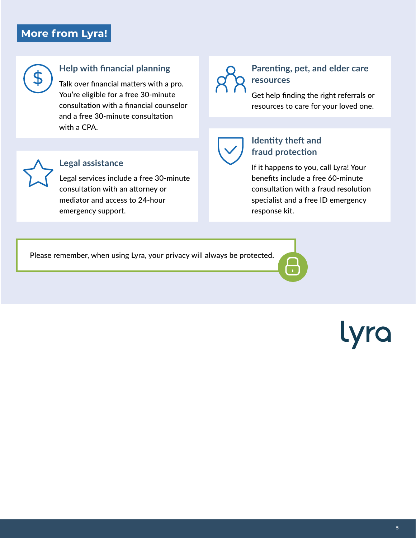#### **More from Lyra!**



#### **Help with financial planning**

**Legal assistance** 

emergency support.

Talk over financial matters with a pro. You're eligible for a free 30-minute consultation with a financial counselor and a free 30-minute consultation with a CPA.

Legal services include a free 30-minute

consultation with an attorney or mediator and access to 24-hour



#### **Parenting, pet, and elder care resources**

Get help finding the right referrals or resources to care for your loved one.



#### **Identity theft and fraud protection**

If it happens to you, call Lyra! Your benefits include a free 60-minute consultation with a fraud resolution specialist and a free ID emergency response kit.

Please remember, when using Lyra, your privacy will always be protected.

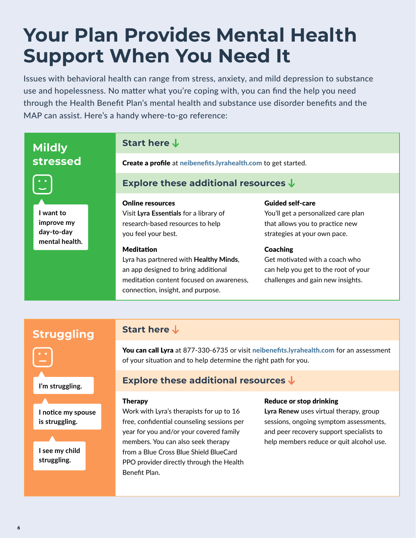## **Your Plan Provides Mental Health Support When You Need It**

Issues with behavioral health can range from stress, anxiety, and mild depression to substance use and hopelessness. No matter what you're coping with, you can find the help you need through the Health Benefit Plan's mental health and substance use disorder benefits and the MAP can assist. Here's a handy where-to-go reference:

#### **Struggling Start here Mildly stressed Start here**  Create a profile at neibenefits.lyrahealth.com to get started. **Explore these additional resources**  Online resources Visit **Lyra Essentials** for a library of research-based resources to help you feel your best. Meditation Lyra has partnered with **Healthy Minds**, an app designed to bring additional meditation content focused on awareness, connection, insight, and purpose. Guided self-care You'll get a personalized care plan that allows you to practice new strategies at your own pace. **Coaching** Get motivated with a coach who can help you get to the root of your challenges and gain new insights. **I want to improve my day-to-day mental health.**

You can call Lyra at 877-330-6735 or visit neibenefits.lyrahealth.com for an assessment of your situation and to help determine the right path for you.

#### **Explore these additional resources**

#### Therapy

Work with Lyra's therapists for up to 16 free, confidential counseling sessions per year for you and/or your covered family members. You can also seek therapy from a Blue Cross Blue Shield BlueCard PPO provider directly through the Health Benefit Plan.

#### Reduce or stop drinking

**Lyra Renew** uses virtual therapy, group sessions, ongoing symptom assessments, and peer recovery support specialists to help members reduce or quit alcohol use.

**is struggling.**

**I'm struggling.**

**I notice my spouse**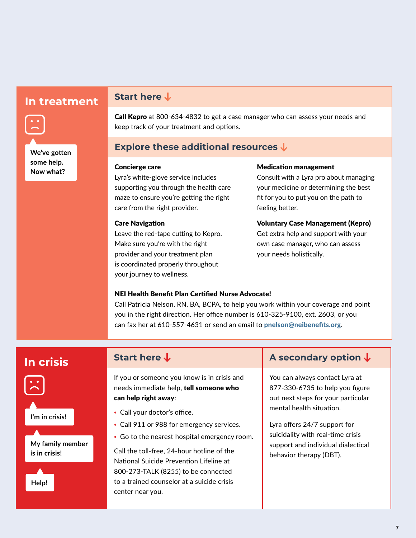### **In treatment Start here**



Call Kepro at 800-634-4832 to get a case manager who can assess your needs and keep track of your treatment and options.

#### **Explore these additional resources**

#### Concierge care

Lyra's white-glove service includes supporting you through the health care maze to ensure you're getting the right care from the right provider.

#### Care Navigation

Leave the red-tape cutting to Kepro. Make sure you're with the right provider and your treatment plan is coordinated properly throughout your journey to wellness.

#### Medication management

Consult with a Lyra pro about managing your medicine or determining the best fit for you to put you on the path to feeling better.

#### Voluntary Case Management (Kepro)

Get extra help and support with your own case manager, who can assess your needs holistically.

#### NEI Health Benefit Plan Certified Nurse Advocate!

Call Patricia Nelson, RN, BA, BCPA, to help you work within your coverage and point you in the right direction. Her office number is 610-325-9100, ext. 2603, or you can fax her at 610-557-4631 or send an email to pnelson@neibenefits.org.



**I'm in crisis!**

**My family member is in crisis!** 



If you or someone you know is in crisis and needs immediate help, tell someone who can help right away:

- **•** Call your doctor's office.
- **•** Call 911 or 988 for emergency services.
- **•** Go to the nearest hospital emergency room.

Call the toll-free, 24-hour hotline of the National Suicide Prevention Lifeline at 800-273-TALK (8255) to be connected to a trained counselor at a suicide crisis center near you.

### **In crisis** start here ↓ A secondary option ↓

You can always contact Lyra at 877-330-6735 to help you figure out next steps for your particular mental health situation.

Lyra offers 24/7 support for suicidality with real-time crisis support and individual dialectical behavior therapy (DBT).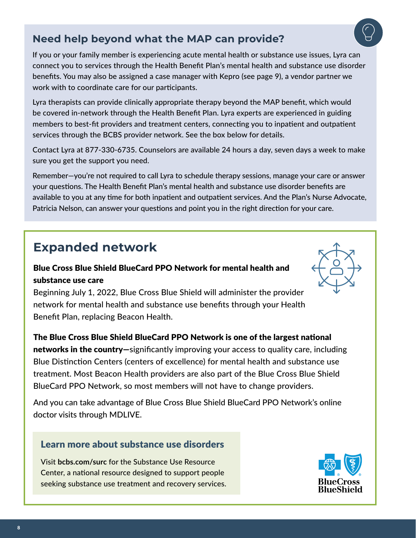#### **Need help beyond what the MAP can provide?**

If you or your family member is experiencing acute mental health or substance use issues, Lyra can connect you to services through the Health Benefit Plan's mental health and substance use disorder benefits. You may also be assigned a case manager with Kepro (see page 9), a vendor partner we work with to coordinate care for our participants.

Lyra therapists can provide clinically appropriate therapy beyond the MAP benefit, which would be covered in-network through the Health Benefit Plan. Lyra experts are experienced in guiding members to best-fit providers and treatment centers, connecting you to inpatient and outpatient services through the BCBS provider network. See the box below for details.

Contact Lyra at 877-330-6735. Counselors are available 24 hours a day, seven days a week to make sure you get the support you need.

Remember—you're not required to call Lyra to schedule therapy sessions, manage your care or answer your questions. The Health Benefit Plan's mental health and substance use disorder benefits are available to you at any time for both inpatient and outpatient services. And the Plan's Nurse Advocate, Patricia Nelson, can answer your questions and point you in the right direction for your care.

### **Expanded network**

#### Blue Cross Blue Shield BlueCard PPO Network for mental health and substance use care

Beginning July 1, 2022, Blue Cross Blue Shield will administer the provider network for mental health and substance use benefits through your Health Benefit Plan, replacing Beacon Health.

The Blue Cross Blue Shield BlueCard PPO Network is one of the largest national networks in the country—significantly improving your access to quality care, including Blue Distinction Centers (centers of excellence) for mental health and substance use treatment. Most Beacon Health providers are also part of the Blue Cross Blue Shield BlueCard PPO Network, so most members will not have to change providers.

And you can take advantage of Blue Cross Blue Shield BlueCard PPO Network's online doctor visits through MDLIVE.

#### Learn more about substance use disorders

Visit **bcbs.com/surc** for the Substance Use Resource Center, a national resource designed to support people seeking substance use treatment and recovery services.







8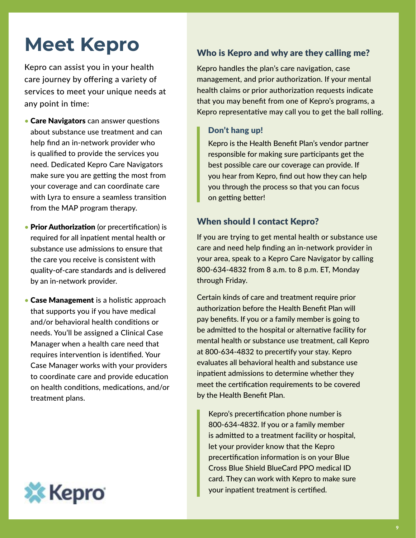## **Meet Kepro**

Kepro can assist you in your health care journey by offering a variety of services to meet your unique needs at any point in time:

- **Care Navigators** can answer questions about substance use treatment and can help find an in-network provider who is qualified to provide the services you need. Dedicated Kepro Care Navigators make sure you are getting the most from your coverage and can coordinate care with Lyra to ensure a seamless transition from the MAP program therapy.
- Prior Authorization (or precertification) is required for all inpatient mental health or substance use admissions to ensure that the care you receive is consistent with quality-of-care standards and is delivered by an in-network provider.
- Case Management is a holistic approach that supports you if you have medical and/or behavioral health conditions or needs. You'll be assigned a Clinical Case Manager when a health care need that requires intervention is identified. Your Case Manager works with your providers to coordinate care and provide education on health conditions, medications, and/or treatment plans.



#### Who is Kepro and why are they calling me?

Kepro handles the plan's care navigation, case management, and prior authorization. If your mental health claims or prior authorization requests indicate that you may benefit from one of Kepro's programs, a Kepro representative may call you to get the ball rolling.

#### Don't hang up!

Kepro is the Health Benefit Plan's vendor partner responsible for making sure participants get the best possible care our coverage can provide. If you hear from Kepro, find out how they can help you through the process so that you can focus on getting better!

#### When should I contact Kepro?

If you are trying to get mental health or substance use care and need help finding an in-network provider in your area, speak to a Kepro Care Navigator by calling 800-634-4832 from 8 a.m. to 8 p.m. ET, Monday through Friday.

Certain kinds of care and treatment require prior authorization before the Health Benefit Plan will pay benefits. If you or a family member is going to be admitted to the hospital or alternative facility for mental health or substance use treatment, call Kepro at 800-634-4832 to precertify your stay. Kepro evaluates all behavioral health and substance use inpatient admissions to determine whether they meet the certification requirements to be covered by the Health Benefit Plan.

Kepro's precertification phone number is 800-634-4832. If you or a family member is admitted to a treatment facility or hospital, let your provider know that the Kepro precertification information is on your Blue Cross Blue Shield BlueCard PPO medical ID card. They can work with Kepro to make sure your inpatient treatment is certified.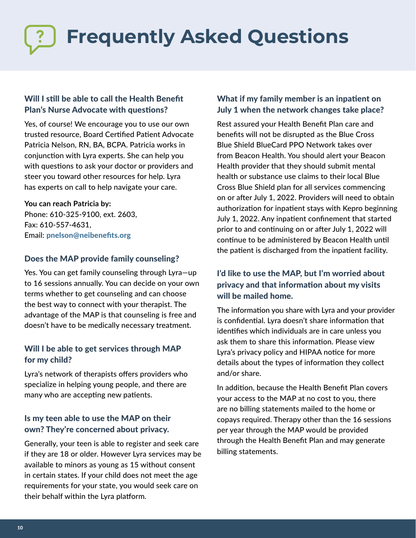# **Frequently Asked Questions**

#### Will I still be able to call the Health Benefit Plan's Nurse Advocate with questions?

Yes, of course! We encourage you to use our own trusted resource, Board Certified Patient Advocate Patricia Nelson, RN, BA, BCPA. Patricia works in conjunction with Lyra experts. She can help you with questions to ask your doctor or providers and steer you toward other resources for help. Lyra has experts on call to help navigate your care.

#### **You can reach Patricia by:**

Phone: 610-325-9100, ext. 2603, Fax: 610-557-4631, Email: pnelson@neibenefits.org

#### Does the MAP provide family counseling?

Yes. You can get family counseling through Lyra—up to 16 sessions annually. You can decide on your own terms whether to get counseling and can choose the best way to connect with your therapist. The advantage of the MAP is that counseling is free and doesn't have to be medically necessary treatment.

#### Will I be able to get services through MAP for my child?

Lyra's network of therapists offers providers who specialize in helping young people, and there are many who are accepting new patients.

#### Is my teen able to use the MAP on their own? They're concerned about privacy.

Generally, your teen is able to register and seek care if they are 18 or older. However Lyra services may be available to minors as young as 15 without consent in certain states. If your child does not meet the age requirements for your state, you would seek care on their behalf within the Lyra platform.

#### What if my family member is an inpatient on July 1 when the network changes take place?

Rest assured your Health Benefit Plan care and benefits will not be disrupted as the Blue Cross Blue Shield BlueCard PPO Network takes over from Beacon Health. You should alert your Beacon Health provider that they should submit mental health or substance use claims to their local Blue Cross Blue Shield plan for all services commencing on or after July 1, 2022. Providers will need to obtain authorization for inpatient stays with Kepro beginning July 1, 2022. Any inpatient confinement that started prior to and continuing on or after July 1, 2022 will continue to be administered by Beacon Health until the patient is discharged from the inpatient facility.

#### I'd like to use the MAP, but I'm worried about privacy and that information about my visits will be mailed home.

The information you share with Lyra and your provider is confidential. Lyra doesn't share information that identifies which individuals are in care unless you ask them to share this information. Please view Lyra's privacy policy and HIPAA notice for more details about the types of information they collect and/or share.

In addition, because the Health Benefit Plan covers your access to the MAP at no cost to you, there are no billing statements mailed to the home or copays required. Therapy other than the 16 sessions per year through the MAP would be provided through the Health Benefit Plan and may generate billing statements.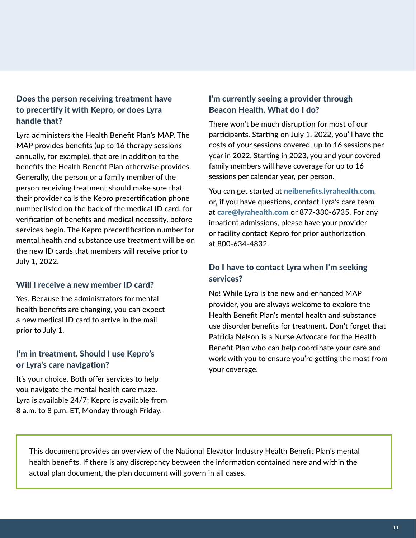#### Does the person receiving treatment have to precertify it with Kepro, or does Lyra handle that?

Lyra administers the Health Benefit Plan's MAP. The MAP provides benefits (up to 16 therapy sessions annually, for example), that are in addition to the benefits the Health Benefit Plan otherwise provides. Generally, the person or a family member of the person receiving treatment should make sure that their provider calls the Kepro precertification phone number listed on the back of the medical ID card, for verification of benefits and medical necessity, before services begin. The Kepro precertification number for mental health and substance use treatment will be on the new ID cards that members will receive prior to July 1, 2022.

#### Will I receive a new member ID card?

Yes. Because the administrators for mental health benefits are changing, you can expect a new medical ID card to arrive in the mail prior to July 1.

#### I'm in treatment. Should I use Kepro's or Lyra's care navigation?

It's your choice. Both offer services to help you navigate the mental health care maze. Lyra is available 24/7; Kepro is available from 8 a.m. to 8 p.m. ET, Monday through Friday.

#### I'm currently seeing a provider through Beacon Health. What do I do?

There won't be much disruption for most of our participants. Starting on July 1, 2022, you'll have the costs of your sessions covered, up to 16 sessions per year in 2022. Starting in 2023, you and your covered family members will have coverage for up to 16 sessions per calendar year, per person.

You can get started at neibenefits.lyrahealth.com, or, if you have questions, contact Lyra's care team at care@lyrahealth.com or 877-330-6735. For any inpatient admissions, please have your provider or facility contact Kepro for prior authorization at 800-634-4832.

#### Do I have to contact Lyra when I'm seeking services?

No! While Lyra is the new and enhanced MAP provider, you are always welcome to explore the Health Benefit Plan's mental health and substance use disorder benefits for treatment. Don't forget that Patricia Nelson is a Nurse Advocate for the Health Benefit Plan who can help coordinate your care and work with you to ensure you're getting the most from your coverage.

This document provides an overview of the National Elevator Industry Health Benefit Plan's mental health benefits. If there is any discrepancy between the information contained here and within the actual plan document, the plan document will govern in all cases.